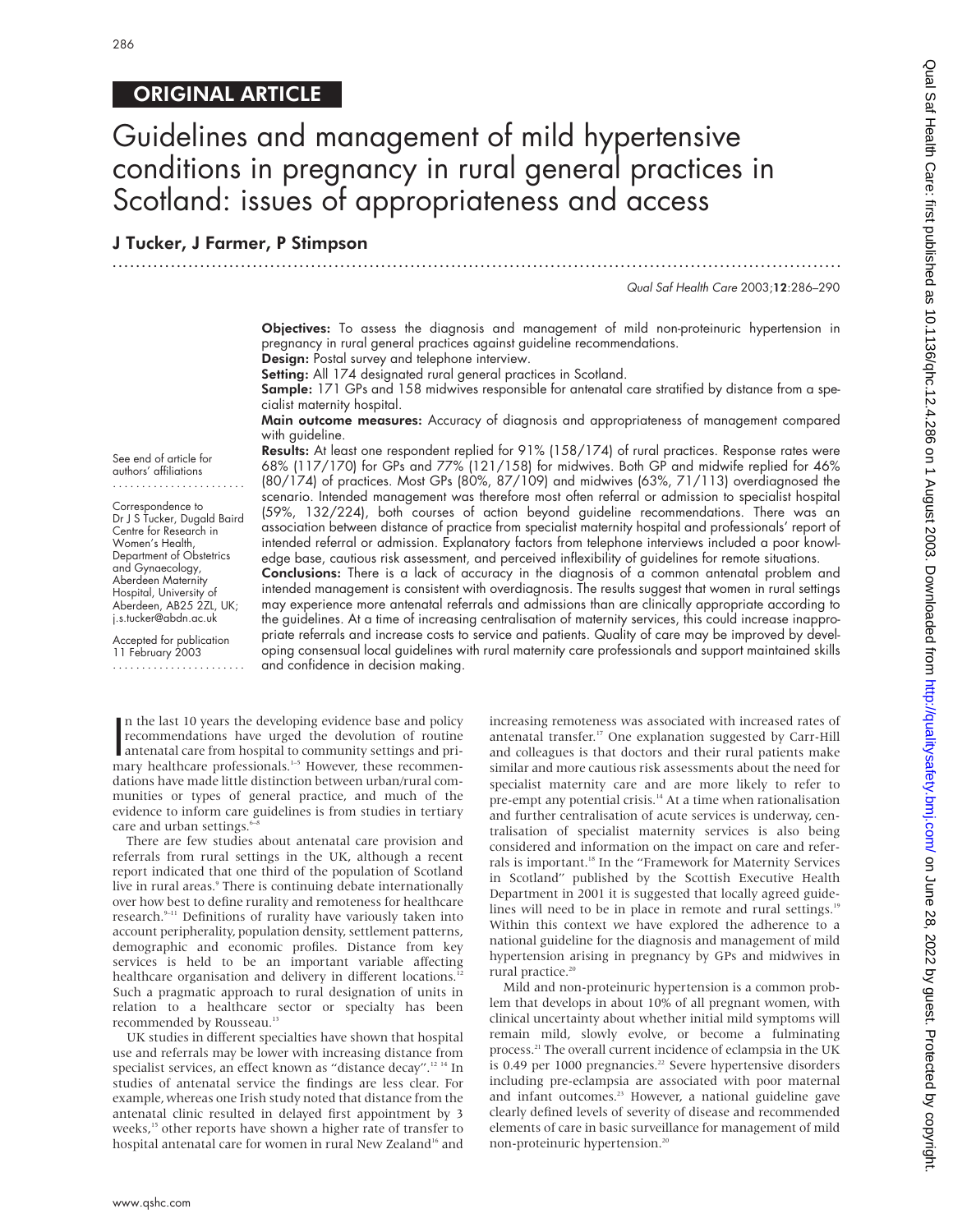# ORIGINAL ARTICLE

# Guidelines and management of mild hypertensive conditions in pregnancy in rural general practices in Scotland: issues of appropriateness and access

.............................................................................................................................

# J Tucker, J Farmer, P Stimpson

Qual Saf Health Care 2003;12:286–290

Objectives: To assess the diagnosis and management of mild non-proteinuric hypertension in pregnancy in rural general practices against guideline recommendations.

Design: Postal survey and telephone interview.

Setting: All 174 designated rural general practices in Scotland.

**Sample:** 171 GPs and 158 midwives responsible for antenatal care stratified by distance from a specialist maternity hospital.

Main outcome measures: Accuracy of diagnosis and appropriateness of management compared with guideline.

See end of article for authors' affiliations .......................

Correspondence to Dr J S Tucker, Dugald Baird Centre for Research in Women's Health, Department of Obstetrics and Gynaecology, Aberdeen Maternity Hospital, University of Aberdeen, AB25 2ZL, UK; j.s.tucker@abdn.ac.uk

Accepted for publication 11 February 2003 .......................

Results: At least one respondent replied for 91% (158/174) of rural practices. Response rates were 68% (117/170) for GPs and 77% (121/158) for midwives. Both GP and midwife replied for 46% (80/174) of practices. Most GPs (80%, 87/109) and midwives (63%, 71/113) overdiagnosed the scenario. Intended management was therefore most often referral or admission to specialist hospital (59%, 132/224), both courses of action beyond guideline recommendations. There was an association between distance of practice from specialist maternity hospital and professionals' report of intended referral or admission. Explanatory factors from telephone interviews included a poor knowledge base, cautious risk assessment, and perceived inflexibility of guidelines for remote situations.

Conclusions: There is a lack of accuracy in the diagnosis of a common antenatal problem and intended management is consistent with overdiagnosis. The results suggest that women in rural settings may experience more antenatal referrals and admissions than are clinically appropriate according to the guidelines. At a time of increasing centralisation of maternity services, this could increase inappropriate referrals and increase costs to service and patients. Quality of care may be improved by developing consensual local guidelines with rural maternity care professionals and support maintained skills and confidence in decision making.

In the last 10 years the developing evidence base and policy<br>recommendations have urged the devolution of routine<br>antenatal care from hospital to community settings and pri-<br>mary healthcare professionals <sup>1-5</sup> However, the n the last 10 years the developing evidence base and policy recommendations have urged the devolution of routine mary healthcare professionals.<sup>1-5</sup> However, these recommendations have made little distinction between urban/rural communities or types of general practice, and much of the evidence to inform care guidelines is from studies in tertiary care and urban settings. $6$ 

There are few studies about antenatal care provision and referrals from rural settings in the UK, although a recent report indicated that one third of the population of Scotland live in rural areas.<sup>9</sup> There is continuing debate internationally over how best to define rurality and remoteness for healthcare research.<sup>9-11</sup> Definitions of rurality have variously taken into account peripherality, population density, settlement patterns, demographic and economic profiles. Distance from key services is held to be an important variable affecting healthcare organisation and delivery in different locations.<sup>1</sup> Such a pragmatic approach to rural designation of units in relation to a healthcare sector or specialty has been recommended by Rousseau.<sup>13</sup>

UK studies in different specialties have shown that hospital use and referrals may be lower with increasing distance from specialist services, an effect known as "distance decay".<sup>12 14</sup> In studies of antenatal service the findings are less clear. For example, whereas one Irish study noted that distance from the antenatal clinic resulted in delayed first appointment by 3 weeks,<sup>15</sup> other reports have shown a higher rate of transfer to hospital antenatal care for women in rural New Zealand<sup>16</sup> and

increasing remoteness was associated with increased rates of antenatal transfer.<sup>17</sup> One explanation suggested by Carr-Hill and colleagues is that doctors and their rural patients make similar and more cautious risk assessments about the need for specialist maternity care and are more likely to refer to pre-empt any potential crisis.<sup>14</sup> At a time when rationalisation and further centralisation of acute services is underway, centralisation of specialist maternity services is also being considered and information on the impact on care and referrals is important.<sup>18</sup> In the "Framework for Maternity Services in Scotland" published by the Scottish Executive Health Department in 2001 it is suggested that locally agreed guidelines will need to be in place in remote and rural settings.<sup>19</sup> Within this context we have explored the adherence to a national guideline for the diagnosis and management of mild hypertension arising in pregnancy by GPs and midwives in rural practice.<sup>20</sup>

Mild and non-proteinuric hypertension is a common problem that develops in about 10% of all pregnant women, with clinical uncertainty about whether initial mild symptoms will remain mild, slowly evolve, or become a fulminating process.<sup>21</sup> The overall current incidence of eclampsia in the UK is 0.49 per 1000 pregnancies.<sup>22</sup> Severe hypertensive disorders including pre-eclampsia are associated with poor maternal and infant outcomes.<sup>23</sup> However, a national guideline gave clearly defined levels of severity of disease and recommended elements of care in basic surveillance for management of mild non-proteinuric hypertension.<sup>20</sup>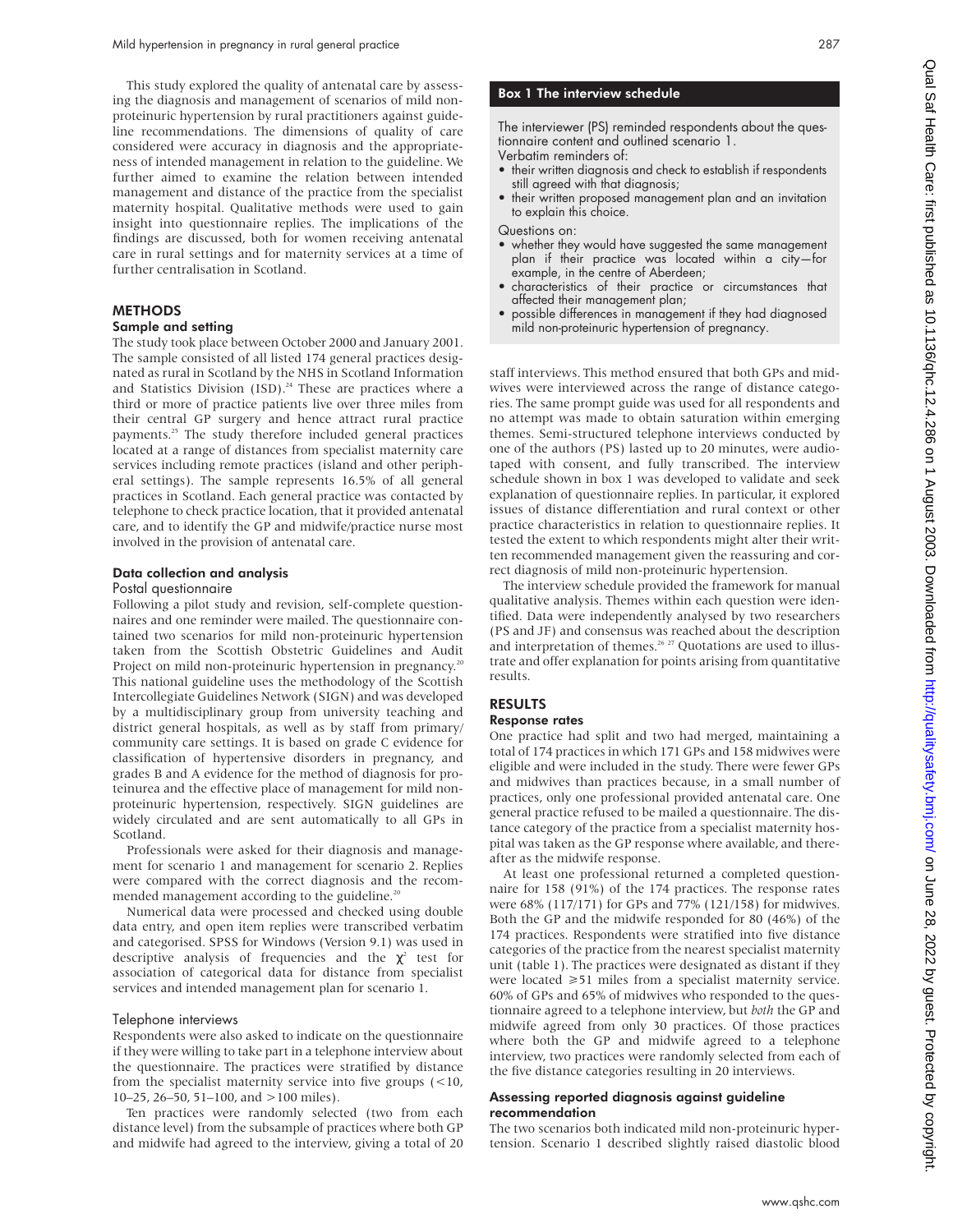This study explored the quality of antenatal care by assessing the diagnosis and management of scenarios of mild nonproteinuric hypertension by rural practitioners against guideline recommendations. The dimensions of quality of care considered were accuracy in diagnosis and the appropriateness of intended management in relation to the guideline. We further aimed to examine the relation between intended management and distance of the practice from the specialist maternity hospital. Qualitative methods were used to gain insight into questionnaire replies. The implications of the findings are discussed, both for women receiving antenatal care in rural settings and for maternity services at a time of further centralisation in Scotland.

# **METHODS**

#### Sample and setting

The study took place between October 2000 and January 2001. The sample consisted of all listed 174 general practices designated as rural in Scotland by the NHS in Scotland Information and Statistics Division  $(ISD).<sup>24</sup>$  These are practices where a third or more of practice patients live over three miles from their central GP surgery and hence attract rural practice payments.<sup>25</sup> The study therefore included general practices located at a range of distances from specialist maternity care services including remote practices (island and other peripheral settings). The sample represents 16.5% of all general practices in Scotland. Each general practice was contacted by telephone to check practice location, that it provided antenatal care, and to identify the GP and midwife/practice nurse most involved in the provision of antenatal care.

#### Data collection and analysis

#### Postal questionnaire

Following a pilot study and revision, self-complete questionnaires and one reminder were mailed. The questionnaire contained two scenarios for mild non-proteinuric hypertension taken from the Scottish Obstetric Guidelines and Audit Project on mild non-proteinuric hypertension in pregnancy.<sup>20</sup> This national guideline uses the methodology of the Scottish Intercollegiate Guidelines Network (SIGN) and was developed by a multidisciplinary group from university teaching and district general hospitals, as well as by staff from primary/ community care settings. It is based on grade C evidence for classification of hypertensive disorders in pregnancy, and grades B and A evidence for the method of diagnosis for proteinurea and the effective place of management for mild nonproteinuric hypertension, respectively. SIGN guidelines are widely circulated and are sent automatically to all GPs in Scotland.

Professionals were asked for their diagnosis and management for scenario 1 and management for scenario 2. Replies were compared with the correct diagnosis and the recommended management according to the guideline.<sup>20</sup>

Numerical data were processed and checked using double data entry, and open item replies were transcribed verbatim and categorised. SPSS for Windows (Version 9.1) was used in descriptive analysis of frequencies and the  $\chi^2$  test for association of categorical data for distance from specialist services and intended management plan for scenario 1.

#### Telephone interviews

Respondents were also asked to indicate on the questionnaire if they were willing to take part in a telephone interview about the questionnaire. The practices were stratified by distance from the specialist maternity service into five groups (<10, 10–25, 26–50, 51–100, and >100 miles).

Ten practices were randomly selected (two from each distance level) from the subsample of practices where both GP and midwife had agreed to the interview, giving a total of 20

# Box 1 The interview schedule

The interviewer (PS) reminded respondents about the questionnaire content and outlined scenario 1. Verbatim reminders of:

- their written diagnosis and check to establish if respondents still agreed with that diagnosis;
- their written proposed management plan and an invitation to explain this choice.

Questions on:

- whether they would have suggested the same management plan if their practice was located within a city—for example, in the centre of Aberdeen;
- characteristics of their practice or circumstances that affected their management plan;
- possible differences in management if they had diagnosed mild non-proteinuric hypertension of pregnancy.

staff interviews. This method ensured that both GPs and midwives were interviewed across the range of distance categories. The same prompt guide was used for all respondents and no attempt was made to obtain saturation within emerging themes. Semi-structured telephone interviews conducted by one of the authors (PS) lasted up to 20 minutes, were audiotaped with consent, and fully transcribed. The interview schedule shown in box 1 was developed to validate and seek explanation of questionnaire replies. In particular, it explored issues of distance differentiation and rural context or other practice characteristics in relation to questionnaire replies. It tested the extent to which respondents might alter their written recommended management given the reassuring and correct diagnosis of mild non-proteinuric hypertension.

The interview schedule provided the framework for manual qualitative analysis. Themes within each question were identified. Data were independently analysed by two researchers (PS and JF) and consensus was reached about the description and interpretation of themes.<sup>26 27</sup> Quotations are used to illustrate and offer explanation for points arising from quantitative results.

## RESULTS

#### Response rates

One practice had split and two had merged, maintaining a total of 174 practices in which 171 GPs and 158 midwives were eligible and were included in the study. There were fewer GPs and midwives than practices because, in a small number of practices, only one professional provided antenatal care. One general practice refused to be mailed a questionnaire. The distance category of the practice from a specialist maternity hospital was taken as the GP response where available, and thereafter as the midwife response.

At least one professional returned a completed questionnaire for 158 (91%) of the 174 practices. The response rates were 68% (117/171) for GPs and 77% (121/158) for midwives. Both the GP and the midwife responded for 80 (46%) of the 174 practices. Respondents were stratified into five distance categories of the practice from the nearest specialist maternity unit (table 1). The practices were designated as distant if they were located  $\geq 51$  miles from a specialist maternity service. 60% of GPs and 65% of midwives who responded to the questionnaire agreed to a telephone interview, but *both* the GP and midwife agreed from only 30 practices. Of those practices where both the GP and midwife agreed to a telephone interview, two practices were randomly selected from each of the five distance categories resulting in 20 interviews.

### Assessing reported diagnosis against guideline recommendation

The two scenarios both indicated mild non-proteinuric hypertension. Scenario 1 described slightly raised diastolic blood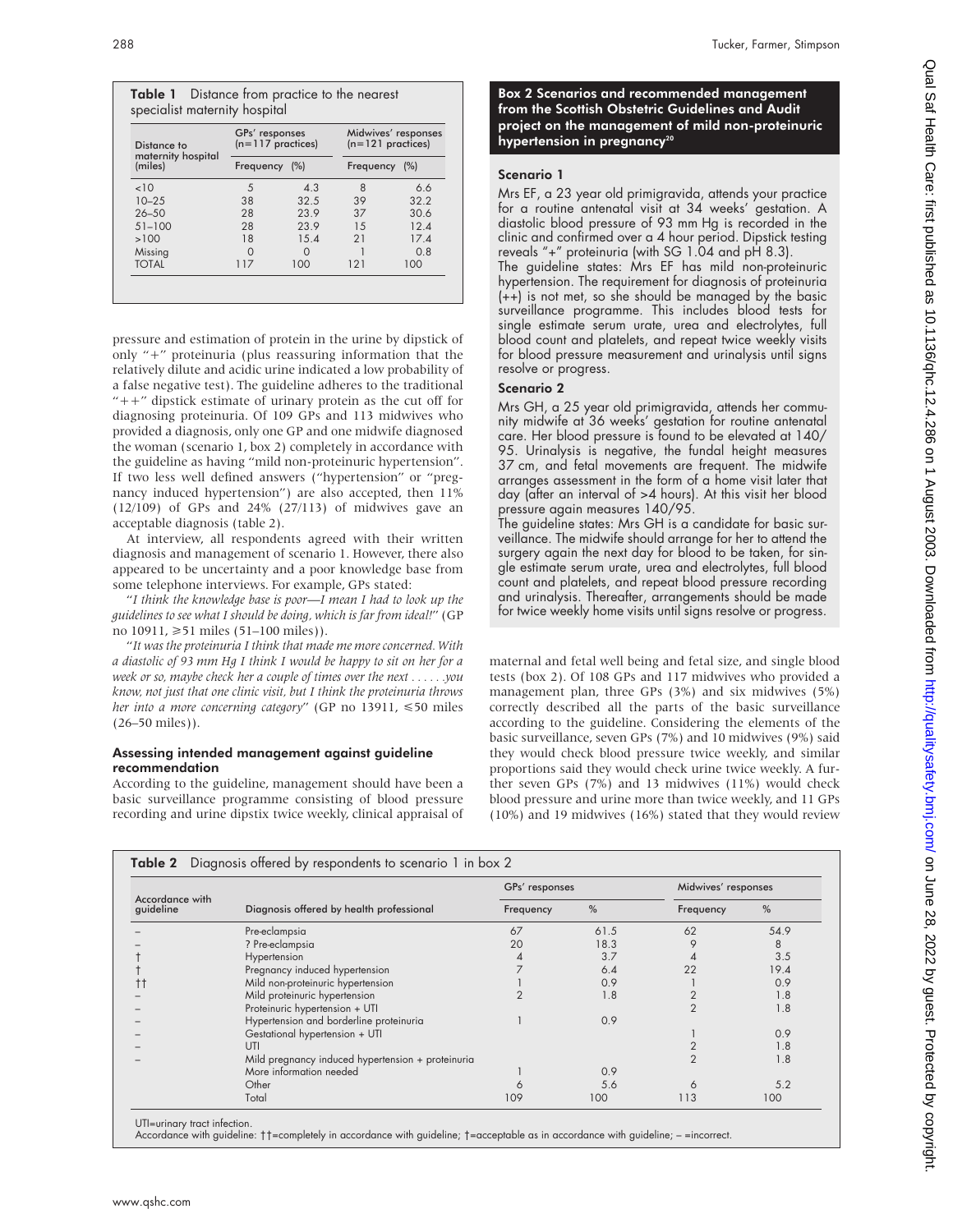| Table 1 Distance from practice to the nearest |  |
|-----------------------------------------------|--|
| specialist maternity hospital                 |  |

| Distance to                   | GPs' responses<br>$(n=117 \text{ practices})$ |      | Midwives' responses<br>$(n=121$ practices) |      |
|-------------------------------|-----------------------------------------------|------|--------------------------------------------|------|
| maternity hospital<br>(miles) | Frequency (%)                                 |      | Frequency                                  | (% ) |
| 10<                           | 5                                             | 4.3  | 8                                          | 6.6  |
| $10 - 25$                     | 38                                            | 32.5 | 39                                         | 32.2 |
| $26 - 50$                     | 28                                            | 23.9 | 37                                         | 30.6 |
| $51 - 100$                    | 28                                            | 23.9 | 15                                         | 12.4 |
| >100                          | 18                                            | 15.4 | 21                                         | 17.4 |
| Missing                       | ∩                                             |      |                                            | 0.8  |
| <b>TOTAL</b>                  | 117                                           | 100  | 121                                        | 100  |

pressure and estimation of protein in the urine by dipstick of only "+" proteinuria (plus reassuring information that the relatively dilute and acidic urine indicated a low probability of a false negative test). The guideline adheres to the traditional  $"++"$  dipstick estimate of urinary protein as the cut off for diagnosing proteinuria. Of 109 GPs and 113 midwives who provided a diagnosis, only one GP and one midwife diagnosed the woman (scenario 1, box 2) completely in accordance with the guideline as having "mild non-proteinuric hypertension". If two less well defined answers ("hypertension" or "pregnancy induced hypertension") are also accepted, then 11% (12/109) of GPs and 24% (27/113) of midwives gave an acceptable diagnosis (table 2).

At interview, all respondents agreed with their written diagnosis and management of scenario 1. However, there also appeared to be uncertainty and a poor knowledge base from some telephone interviews. For example, GPs stated:

"*I think the knowledge base is poor—I mean I had to look up the guidelines to see what I should be doing, which is far from ideal!*" (GP no 10911, >51 miles (51–100 miles)).

"*It was the proteinuria I think that made me more concerned. With a diastolic of 93 mm Hg I think I would be happy to sit on her for a week or so, maybe check her a couple of times over the next . . . . . .you know, not just that one clinic visit, but I think the proteinuria throws her into a more concerning category*" (GP no 13911, <50 miles (26–50 miles)).

## Assessing intended management against guideline recommendation

According to the guideline, management should have been a basic surveillance programme consisting of blood pressure recording and urine dipstix twice weekly, clinical appraisal of Box 2 Scenarios and recommended management from the Scottish Obstetric Guidelines and Audit project on the management of mild non-proteinuric hypertension in pregnancy<sup>20</sup>

# Scenario 1

Mrs EF, a 23 year old primigravida, attends your practice for a routine antenatal visit at 34 weeks' gestation. A diastolic blood pressure of 93 mm Hg is recorded in the clinic and confirmed over a 4 hour period. Dipstick testing reveals "+" proteinuria (with SG 1.04 and pH 8.3).

The guideline states: Mrs EF has mild non-proteinuric hypertension. The requirement for diagnosis of proteinuria (++) is not met, so she should be managed by the basic surveillance programme. This includes blood tests for single estimate serum urate, urea and electrolytes, full blood count and platelets, and repeat twice weekly visits for blood pressure measurement and urinalysis until signs resolve or progress.

# Scenario 2

Mrs GH, a 25 year old primigravida, attends her community midwife at 36 weeks' gestation for routine antenatal care. Her blood pressure is found to be elevated at 140/ 95. Urinalysis is negative, the fundal height measures 37 cm, and fetal movements are frequent. The midwife arranges assessment in the form of a home visit later that day (after an interval of >4 hours). At this visit her blood pressure again measures 140/95.

The guideline states: Mrs GH is a candidate for basic surveillance. The midwife should arrange for her to attend the surgery again the next day for blood to be taken, for single estimate serum urate, urea and electrolytes, full blood count and platelets, and repeat blood pressure recording and urinalysis. Thereafter, arrangements should be made for twice weekly home visits until signs resolve or progress.

maternal and fetal well being and fetal size, and single blood tests (box 2). Of 108 GPs and 117 midwives who provided a management plan, three GPs (3%) and six midwives (5%) correctly described all the parts of the basic surveillance according to the guideline. Considering the elements of the basic surveillance, seven GPs (7%) and 10 midwives (9%) said they would check blood pressure twice weekly, and similar proportions said they would check urine twice weekly. A further seven GPs (7%) and 13 midwives (11%) would check blood pressure and urine more than twice weekly, and 11 GPs (10%) and 19 midwives (16%) stated that they would review

|                              |                                                   | GPs' responses |      | Midwives' responses |      |
|------------------------------|---------------------------------------------------|----------------|------|---------------------|------|
| Accordance with<br>guideline | Diagnosis offered by health professional          | Frequency      | %    | Frequency           | %    |
|                              | Pre-eclampsia                                     | 67             | 61.5 | 62                  | 54.9 |
|                              | ? Pre-eclampsia                                   | 20             | 18.3 | 9                   | 8    |
|                              | Hypertension                                      |                | 3.7  | Δ                   | 3.5  |
|                              | Pregnancy induced hypertension                    |                | 6.4  | 22                  | 19.4 |
|                              | Mild non-proteinuric hypertension                 |                | 0.9  |                     | 0.9  |
|                              | Mild proteinuric hypertension                     |                | 1.8  | 2                   | 1.8  |
|                              | Proteinuric hypertension + UTI                    |                |      | $\overline{2}$      | 1.8  |
|                              | Hypertension and borderline proteinuria           |                | 0.9  |                     |      |
|                              | Gestational hypertension + UTI                    |                |      |                     | 0.9  |
|                              | UTI                                               |                |      |                     | 1.8  |
|                              | Mild pregnancy induced hypertension + proteinuria |                |      |                     | 1.8  |
|                              | More information needed                           |                | 0.9  |                     |      |
|                              | Other                                             |                | 5.6  | 6                   | 5.2  |
|                              | Total                                             | 109            | 100  | 113                 | 100  |

UTI=urinary tract infection. Accordance with guideline: ††=completely in accordance with guideline; †=acceptable as in accordance with guideline; – =incorrect.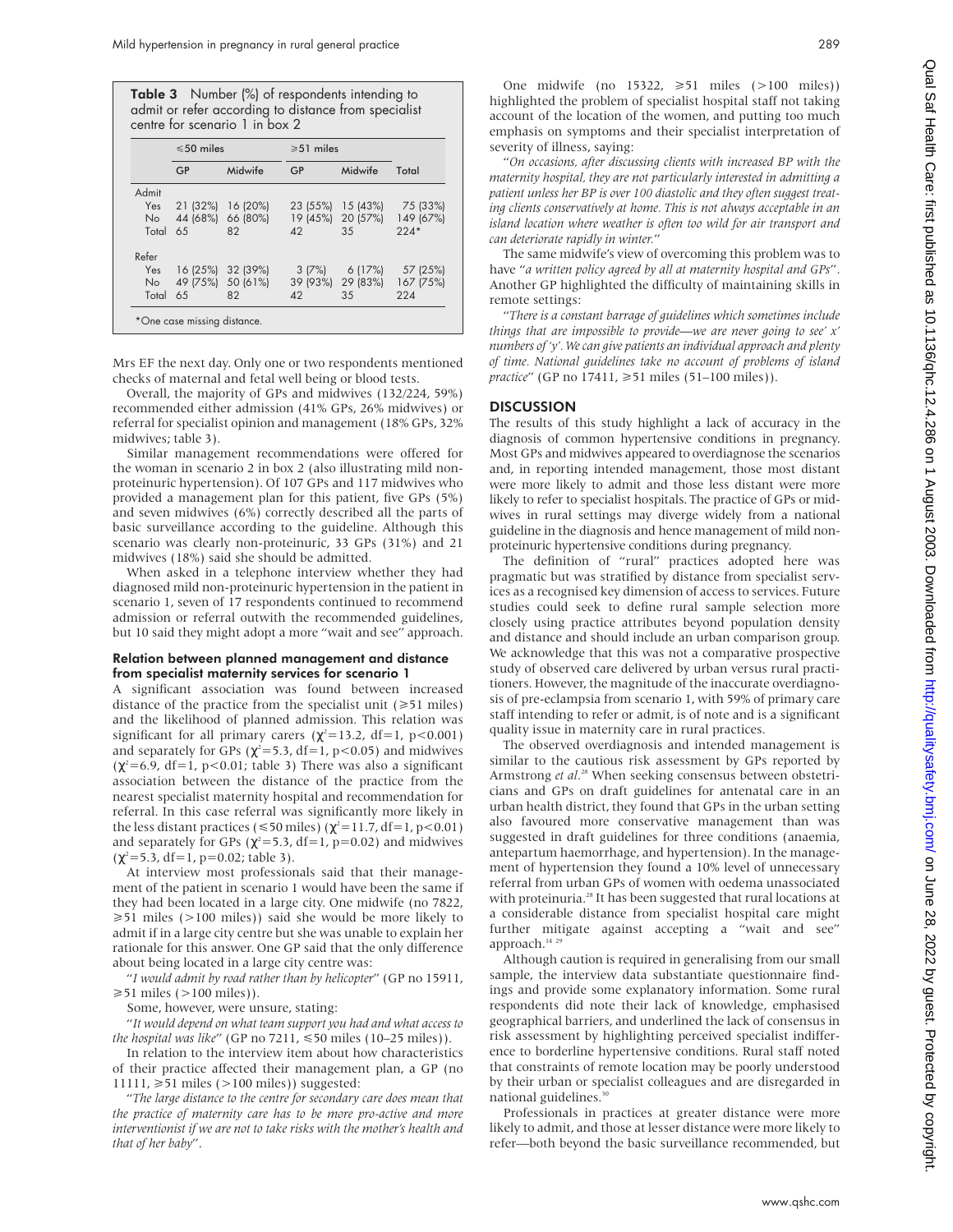| <b>Table 3</b> Number (%) of respondents intending to |  |
|-------------------------------------------------------|--|
| admit or refer according to distance from specialist  |  |
| centre for scenario 1 in box 2                        |  |

|       | $\leq 50$ miles   |          |          | $\geq 51$ miles   |           |
|-------|-------------------|----------|----------|-------------------|-----------|
|       | GP                | Midwife  | GP       | Midwife           | Total     |
| Admit |                   |          |          |                   |           |
| Yes   | 21 (32%)          | 16 (20%) |          | 23 (55%) 15 (43%) | 75 (33%)  |
| No    | 44 (68%)          | 66 (80%) | 19 (45%) | 20 (57%)          | 149 (67%) |
| Total | 65                | 82       | 42       | 35                | $224*$    |
| Refer |                   |          |          |                   |           |
| Yes   | 16 (25%)          | 32 (39%) | 3 (7%)   | 6(17%)            | 57 (25%)  |
| No    | 49 (75%) 50 (61%) |          |          | 39 (93%) 29 (83%) | 167 (75%) |
| Total | 65                | 82       | 42       | 35                | 224       |

Mrs EF the next day. Only one or two respondents mentioned checks of maternal and fetal well being or blood tests.

Overall, the majority of GPs and midwives (132/224, 59%) recommended either admission (41% GPs, 26% midwives) or referral for specialist opinion and management (18% GPs, 32% midwives; table 3).

Similar management recommendations were offered for the woman in scenario 2 in box 2 (also illustrating mild nonproteinuric hypertension). Of 107 GPs and 117 midwives who provided a management plan for this patient, five GPs (5%) and seven midwives (6%) correctly described all the parts of basic surveillance according to the guideline. Although this scenario was clearly non-proteinuric, 33 GPs (31%) and 21 midwives (18%) said she should be admitted.

When asked in a telephone interview whether they had diagnosed mild non-proteinuric hypertension in the patient in scenario 1, seven of 17 respondents continued to recommend admission or referral outwith the recommended guidelines, but 10 said they might adopt a more "wait and see" approach.

#### Relation between planned management and distance from specialist maternity services for scenario 1

A significant association was found between increased distance of the practice from the specialist unit  $(\geq 51 \text{ miles})$ and the likelihood of planned admission. This relation was significant for all primary carers ( $\chi^2$ =13.2, df=1, p<0.001) and separately for GPs ( $\chi^2$ =5.3, df=1, p<0.05) and midwives  $(\chi^2=6.9, df=1, p<0.01; table 3)$  There was also a significant association between the distance of the practice from the nearest specialist maternity hospital and recommendation for referral. In this case referral was significantly more likely in the less distant practices ( $\leq 50$  miles) ( $\chi^2$ =11.7, df=1, p<0.01) and separately for GPs ( $\chi^2$ =5.3, df=1, p=0.02) and midwives  $(\chi^2 = 5.3, df = 1, p = 0.02; table 3).$ 

At interview most professionals said that their management of the patient in scenario 1 would have been the same if they had been located in a large city. One midwife (no 7822,  $\geq 51$  miles ( $> 100$  miles)) said she would be more likely to admit if in a large city centre but she was unable to explain her rationale for this answer. One GP said that the only difference about being located in a large city centre was:

"*I would admit by road rather than by helicopter*" (GP no 15911,  $\geq 51$  miles ( $>100$  miles)).

Some, however, were unsure, stating:

"*It would depend on what team support you had and what access to the hospital was like"* (GP no 7211, ≤50 miles (10–25 miles)).

In relation to the interview item about how characteristics of their practice affected their management plan, a GP (no 11111,  $\geq 51$  miles ( $>100$  miles)) suggested:

"*The large distance to the centre for secondary care does mean that the practice of maternity care has to be more pro-active and more interventionist if we are not to take risks with the mother's health and that of her baby*".

One midwife (no 15322,  $\geq 51$  miles (>100 miles)) highlighted the problem of specialist hospital staff not taking account of the location of the women, and putting too much emphasis on symptoms and their specialist interpretation of severity of illness, saying:

"*On occasions, after discussing clients with increased BP with the maternity hospital, they are not particularly interested in admitting a patient unless her BP is over 100 diastolic and they often suggest treating clients conservatively at home. This is not always acceptable in an island location where weather is often too wild for air transport and can deteriorate rapidly in winter.*"

The same midwife's view of overcoming this problem was to have "*a written policy agreed by all at maternity hospital and GPs*". Another GP highlighted the difficulty of maintaining skills in remote settings:

"*There is a constant barrage of guidelines which sometimes include things that are impossible to provide—we are never going to see' x' numbers of 'y'. We can give patients an individual approach and plenty of time. National guidelines take no account of problems of island practice"* (GP no 17411, ≥51 miles (51–100 miles)).

#### **DISCUSSION**

The results of this study highlight a lack of accuracy in the diagnosis of common hypertensive conditions in pregnancy. Most GPs and midwives appeared to overdiagnose the scenarios and, in reporting intended management, those most distant were more likely to admit and those less distant were more likely to refer to specialist hospitals. The practice of GPs or midwives in rural settings may diverge widely from a national guideline in the diagnosis and hence management of mild nonproteinuric hypertensive conditions during pregnancy.

The definition of "rural" practices adopted here was pragmatic but was stratified by distance from specialist services as a recognised key dimension of access to services. Future studies could seek to define rural sample selection more closely using practice attributes beyond population density and distance and should include an urban comparison group. We acknowledge that this was not a comparative prospective study of observed care delivered by urban versus rural practitioners. However, the magnitude of the inaccurate overdiagnosis of pre-eclampsia from scenario 1, with 59% of primary care staff intending to refer or admit, is of note and is a significant quality issue in maternity care in rural practices.

The observed overdiagnosis and intended management is similar to the cautious risk assessment by GPs reported by Armstrong *et al*. <sup>28</sup> When seeking consensus between obstetricians and GPs on draft guidelines for antenatal care in an urban health district, they found that GPs in the urban setting also favoured more conservative management than was suggested in draft guidelines for three conditions (anaemia, antepartum haemorrhage, and hypertension). In the management of hypertension they found a 10% level of unnecessary referral from urban GPs of women with oedema unassociated with proteinuria.<sup>28</sup> It has been suggested that rural locations at a considerable distance from specialist hospital care might further mitigate against accepting a "wait and see" approach.<sup>14 29</sup>

Although caution is required in generalising from our small sample, the interview data substantiate questionnaire findings and provide some explanatory information. Some rural respondents did note their lack of knowledge, emphasised geographical barriers, and underlined the lack of consensus in risk assessment by highlighting perceived specialist indifference to borderline hypertensive conditions. Rural staff noted that constraints of remote location may be poorly understood by their urban or specialist colleagues and are disregarded in national guidelines.<sup>30</sup>

Professionals in practices at greater distance were more likely to admit, and those at lesser distance were more likely to refer—both beyond the basic surveillance recommended, but